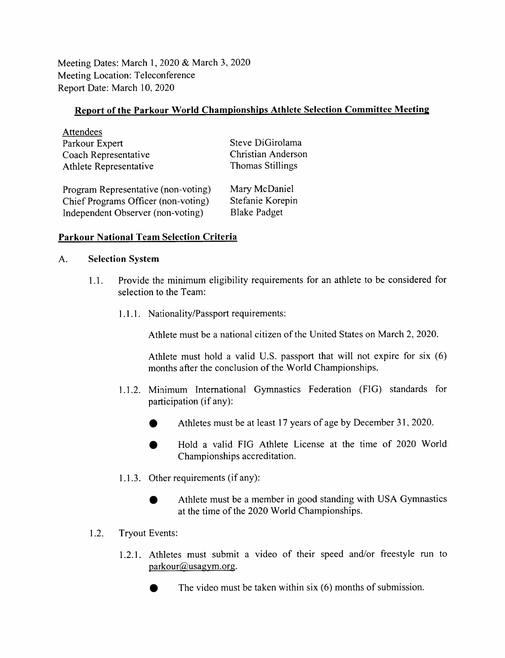Meeting Dates: March 1, 2020 & March 3, 2020 Meeting Location: Teleconference Report Date: March 10, 2020

### Report of the Parkour World Championships Athlete Selection Committee Meeting

| Attendees                           |                         |
|-------------------------------------|-------------------------|
| Parkour Expert                      | Steve DiGirolama        |
| Coach Representative                | Christian Anderson      |
| Athlete Representative              | <b>Thomas Stillings</b> |
| Program Representative (non-voting) | Mary McDaniel           |
| Chief Programs Officer (non-voting) | Stefanie Korepin        |

Independent Observer (non-voting) Blake Padget

# Parkour National Team Selection Criteria

#### A. Selection System

 $\overline{a}$ 

- 1.1. Provide the minimum eligibility requirements for an athlete to be considered for selection to the Team:
	- 1.1.1. Nationality/Passport requirements:

Athlete must be a national citizen of the United States on March 2, 2020.

Athlete must hold a valid U.S. passport that will not expire for six (6) months after the conclusion of the World Championships.

- 1.1.2. Minimum International Gymnastics Federation (FIG) standards for participation (if any):
	- Athletes must be at least 17 years of age by December 31, 2020.
	- # Hold a valid FIG Athlete License at the time of 2020 World Championships accreditation.
- 1.1.3. Other requirements (if any):
	- Athlete must be a member in good standing with USA Gymnastics at the time of the 2020 World Championships.
- 1.2. Tryout Events:
	- 1.2.1. Athletes must submit a video of their speed and/or freestyle run to parkour@usagym.org.
		- The video must be taken within six  $(6)$  months of submission.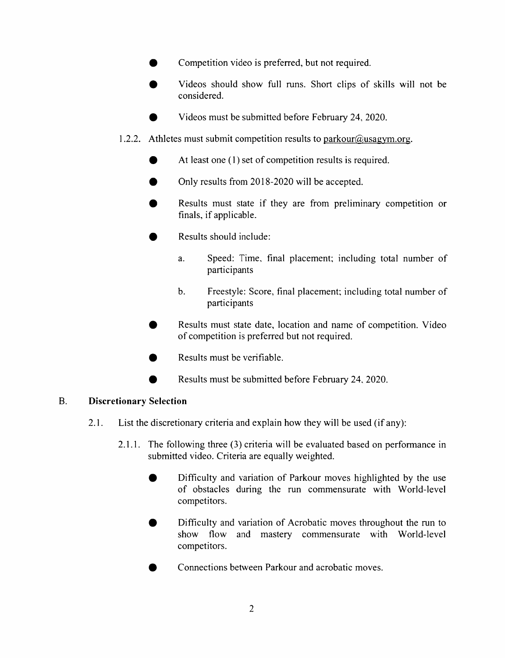- Competition video is preferred, but not required.
- Videos should show full runs. Short clips of skills will not be considered.
- Videos must be submitted before February 24, 2020.
- 1.2.2. Athletes must submit competition results to parkour@usagym.org.
	- At least one (1) set of competition results is required.
	- Only results from 2018-2020 will be accepted.
	- Results must state if they are from preliminary competition or finals, if applicable.
	- Results should include:
		- a. Speed: Time, final placement; including total number of participants
		- b. Freestyle: Score, final placement; including total number of participants
	- Results must state date, location and name of competition. Video of competition is preferred but not required.
	- Results must be verifiable.
	- Results must be submitted before February 24, 2020.

### B. Discretionary Selection

- 2.1. List the discretionary criteria and explain how they will be used (if any):
	- 2.1.1. The following three (3) criteria will be evaluated based on performance in submitted video. Criteria are equally weighted.
		- Difficulty and variation of Parkour moves highlighted by the use of obstacles during the run commensurate with World-level competitors.
		- Difficulty and variation of Acrobatic moves throughout the run to show flow and mastery commensurate with World-level competitors.
		- Connections between Parkour and acrobatic moves.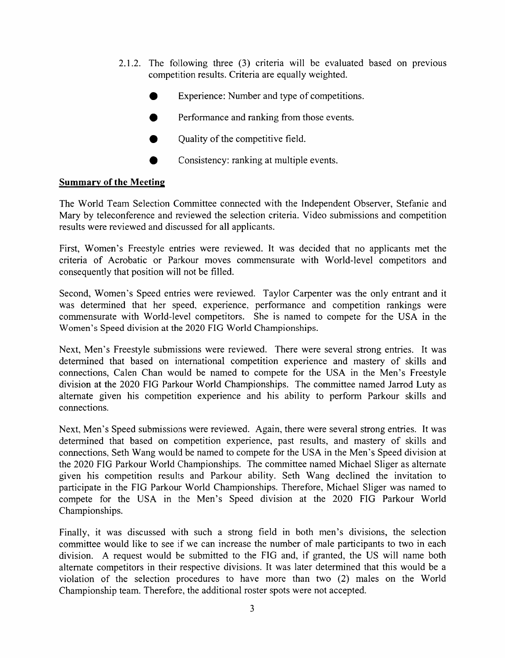- 2.1.2. The following three (3) criteria will be evaluated based on previous competition results. Criteria are equally weighted.
	- Experience: Number and type of competitions.
	- Performance and ranking from those events.
	- Quality of the competitive field.
	- Consistency: ranking at multiple events.

# Summary of the Meeting

The World Team Selection Committee connected with the Independent Observer, Stefanie and Mary by teleconference and reviewed the selection criteria. Video submissions and competition results were reviewed and discussed for all applicants.

First, Women's Freestyle entries were reviewed. It was decided that no applicants met the criteria of Acrobatic or Parkour moves commensurate with World-level competitors and consequently that position will not be filled.

Second, Women's Speed entries were reviewed. Taylor Carpenter was the only entrant and it was determined that her speed, experience, performance and competition rankings were commensurate with World-level competitors. She is named to compete for the USA in the Women's Speed division at the 2020 FIG World Championships.

Next, Men's Freestyle submissions were reviewed. There were several strong entries. It was determined that based on international competition experience and mastery of skills and connections, Calen Chan would be named to compete for the USA in the Men's Freestyle division at the 2020 FIG Parkour World Championships. The committee named Jarrod Luty as alternate given his competition experience and his ability to perform Parkour skills and connections.

Next, Men's Speed submissions were reviewed. Again, there were several strong entries. It was determined that based on competition experience, past results, and mastery of skills and connections, Seth Wang would be named to compete for the USA in the Men's Speed division at the 2020 FIG Parkour World Championships. The committee named Michael Sliger as alternate given his competition results and Parkour ability. Seth Wang declined the invitation to participate in the FIG Parkour World Championships. Therefore, Michael Sliger was named to compete for the USA in the Men's Speed division at the 2020 FIG Parkour World Championships.

Finally, it was discussed with such a strong field in both men's divisions, the selection committee would like to see if we can increase the number of male participants to two in each division. A request would be submitted to the FIG and, if granted, the US will name both alternate competitors in their respective divisions. It was later determined that this would be a violation of the selection procedures to have more than two (2) males on the World Championship team. Therefore, the additional roster spots were not accepted.